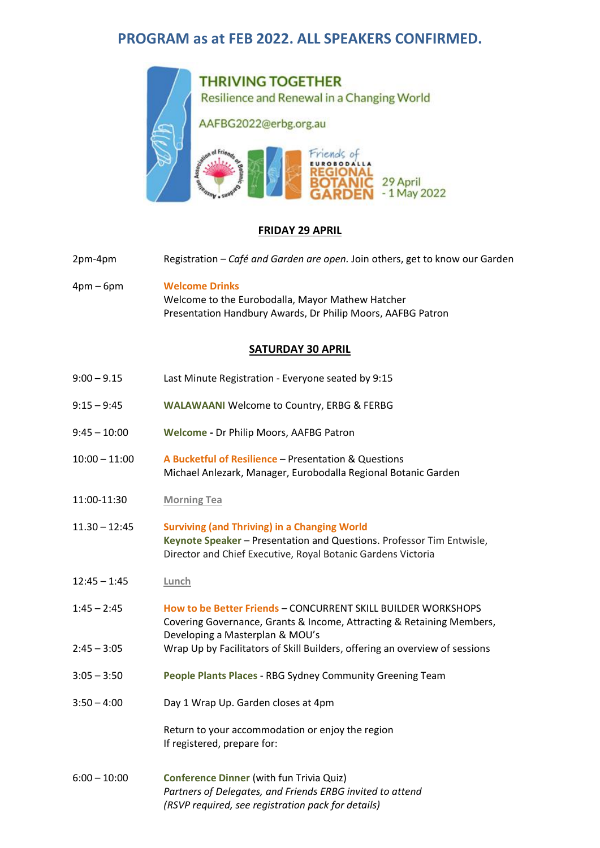# **PROGRAM as at FEB 2022. ALL SPEAKERS CONFIRMED.**



### **FRIDAY 29 APRIL**

- 2pm-4pm Registration *Café and Garden are open.* Join others, get to know our Garden
- 4pm 6pm **Welcome Drinks** Welcome to the Eurobodalla, Mayor Mathew Hatcher Presentation Handbury Awards, Dr Philip Moors, AAFBG Patron

#### **SATURDAY 30 APRIL**

| Last Minute Registration - Everyone seated by 9:15                                                                                                                                           |
|----------------------------------------------------------------------------------------------------------------------------------------------------------------------------------------------|
| <b>WALAWAANI Welcome to Country, ERBG &amp; FERBG</b>                                                                                                                                        |
| Welcome - Dr Philip Moors, AAFBG Patron                                                                                                                                                      |
| A Bucketful of Resilience - Presentation & Questions<br>Michael Anlezark, Manager, Eurobodalla Regional Botanic Garden                                                                       |
| <b>Morning Tea</b>                                                                                                                                                                           |
| <b>Surviving (and Thriving) in a Changing World</b><br>Keynote Speaker - Presentation and Questions. Professor Tim Entwisle,<br>Director and Chief Executive, Royal Botanic Gardens Victoria |
| Lunch                                                                                                                                                                                        |
| How to be Better Friends - CONCURRENT SKILL BUILDER WORKSHOPS<br>Covering Governance, Grants & Income, Attracting & Retaining Members,<br>Developing a Masterplan & MOU's                    |
| Wrap Up by Facilitators of Skill Builders, offering an overview of sessions                                                                                                                  |
| People Plants Places - RBG Sydney Community Greening Team                                                                                                                                    |
| Day 1 Wrap Up. Garden closes at 4pm                                                                                                                                                          |
| Return to your accommodation or enjoy the region<br>If registered, prepare for:                                                                                                              |
| <b>Conference Dinner (with fun Trivia Quiz)</b><br>Partners of Delegates, and Friends ERBG invited to attend<br>(RSVP required, see registration pack for details)                           |
|                                                                                                                                                                                              |